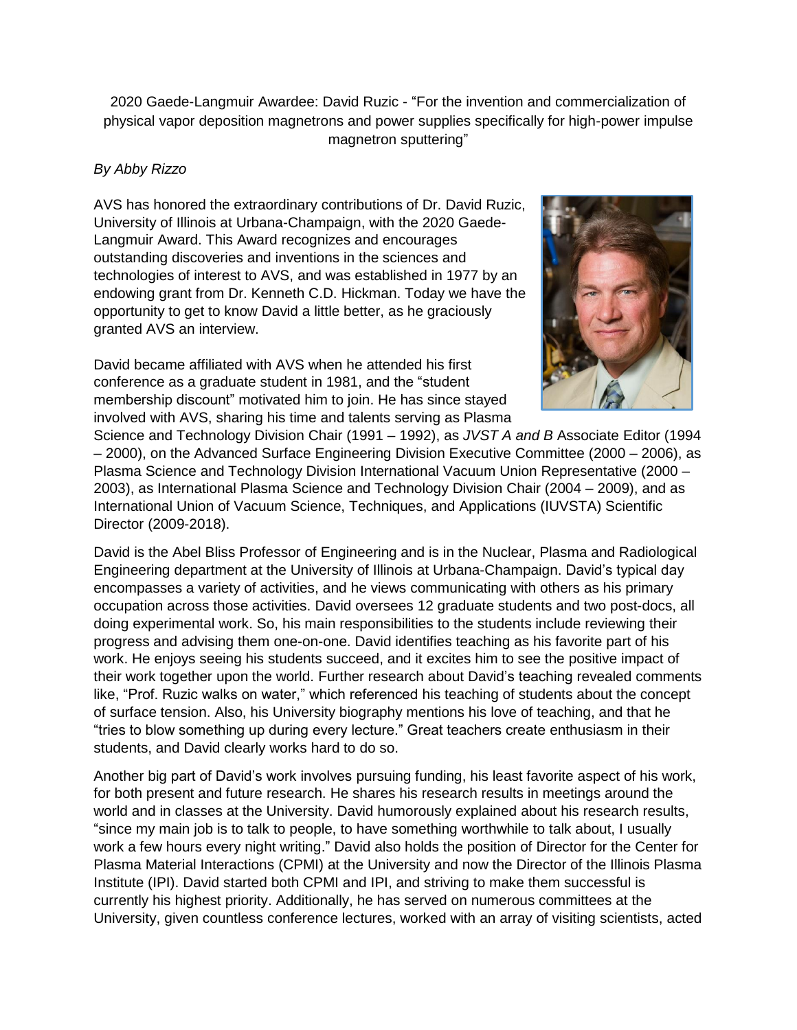2020 Gaede-Langmuir Awardee: David Ruzic - "For the invention and commercialization of physical vapor deposition magnetrons and power supplies specifically for high-power impulse magnetron sputtering"

## *By Abby Rizzo*

AVS has honored the extraordinary contributions of Dr. David Ruzic, University of Illinois at Urbana-Champaign, with the 2020 Gaede-Langmuir Award. This Award recognizes and encourages outstanding discoveries and inventions in the sciences and technologies of interest to AVS, and was established in 1977 by an endowing grant from Dr. Kenneth C.D. Hickman. Today we have the opportunity to get to know David a little better, as he graciously granted AVS an interview.

David became affiliated with AVS when he attended his first conference as a graduate student in 1981, and the "student membership discount" motivated him to join. He has since stayed involved with AVS, sharing his time and talents serving as Plasma



Science and Technology Division Chair (1991 – 1992), as *JVST A and B* Associate Editor (1994 – 2000), on the Advanced Surface Engineering Division Executive Committee (2000 – 2006), as Plasma Science and Technology Division International Vacuum Union Representative (2000 – 2003), as International Plasma Science and Technology Division Chair (2004 – 2009), and as International Union of Vacuum Science, Techniques, and Applications (IUVSTA) Scientific Director (2009-2018).

David is the Abel Bliss Professor of Engineering and is in the Nuclear, Plasma and Radiological Engineering department at the University of Illinois at Urbana-Champaign. David's typical day encompasses a variety of activities, and he views communicating with others as his primary occupation across those activities. David oversees 12 graduate students and two post-docs, all doing experimental work. So, his main responsibilities to the students include reviewing their progress and advising them one-on-one. David identifies teaching as his favorite part of his work. He enjoys seeing his students succeed, and it excites him to see the positive impact of their work together upon the world. Further research about David's teaching revealed comments like, "Prof. Ruzic walks on water," which referenced his teaching of students about the concept of surface tension. Also, his University biography mentions his love of teaching, and that he "tries to blow something up during every lecture." Great teachers create enthusiasm in their students, and David clearly works hard to do so.

Another big part of David's work involves pursuing funding, his least favorite aspect of his work, for both present and future research. He shares his research results in meetings around the world and in classes at the University. David humorously explained about his research results, "since my main job is to talk to people, to have something worthwhile to talk about, I usually work a few hours every night writing." David also holds the position of Director for the Center for Plasma Material Interactions (CPMI) at the University and now the Director of the Illinois Plasma Institute (IPI). David started both CPMI and IPI, and striving to make them successful is currently his highest priority. Additionally, he has served on numerous committees at the University, given countless conference lectures, worked with an array of visiting scientists, acted